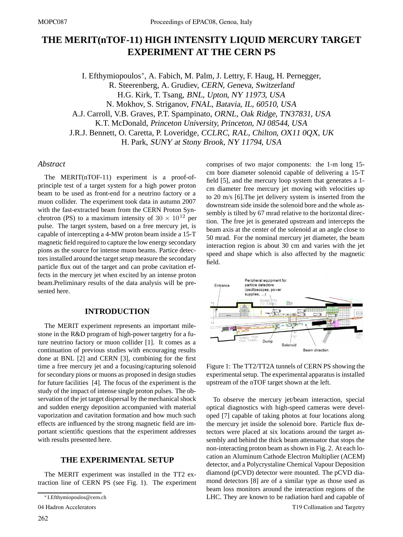# **THE MERIT(nTOF-11) HIGH INTENSITY LIQUID MERCURY TARGET EXPERIMENT AT THE CERN PS**

I. Efthymiopoulos∗, A. Fabich, M. Palm, J. Lettry, F. Haug, H. Pernegger, R. Steerenberg, A. Grudiev, CERN, Geneva, Switzerland H.G. Kirk, T. Tsang, BNL, Upton, NY 11973, USA N. Mokhov, S. Striganov, FNAL, Batavia, IL, 60510, USA A.J. Carroll, V.B. Graves, P.T. Spampinato, ORNL, Oak Ridge, TN37831, USA K.T. McDonald, Princeton University, Princeton, NJ 08544, USA J.R.J. Bennett, O. Caretta, P. Loveridge, CCLRC, RAL, Chilton, OX11 0QX, UK H. Park, SUNY at Stony Brook, NY 11794, USA

## *Abstract*

The MERIT(nTOF-11) experiment is a proof-ofprinciple test of a target system for a high power proton beam to be used as front-end for a neutrino factory or a muon collider. The experiment took data in autumn 2007 with the fast-extracted beam from the CERN Proton Synchrotron (PS) to a maximum intensity of  $30 \times 10^{12}$  per pulse. The target system, based on a free mercury jet, is capable of intercepting a 4-MW proton beam inside a 15-T magnetic field required to capture the low energy secondary pions as the source for intense muon beams. Partice detectors installed around the target setup measure the secondary particle flux out of the target and can probe cavitation effects in the mercury jet when excited by an intense proton beam.Preliminary results of the data analysis will be presented here.

## **INTRODUCTION**

The MERIT experiment represents an important milestone in the R&D program of high-power targetry for a future neutrino factory or muon collider [1]. It comes as a continuation of previous studies with encouraging results done at BNL [2] and CERN [3], combining for the first time a free mercury jet and a focusing/capturing solenoid for secondary pions or muons as proposed in design studies for future facilities [4]. The focus of the experiment is the study of the impact of intense single proton pulses. The observation of the jet target dispersal by the mechanical shock and sudden energy deposition accompanied with material vaporization and cavitation formation and how much such effects are influenced by the strong magnetic field are important scientific questions that the experiment addresses with results presented here.

## **THE EXPERIMENTAL SETUP**

The MERIT experiment was installed in the TT2 extraction line of CERN PS (see Fig. 1). The experiment comprises of two major components: the 1-m long 15 cm bore diameter solenoid capable of delivering a 15-T field [5], and the mercury loop system that generates a 1 cm diameter free mercury jet moving with velocities up to 20 m/s [6].The jet delivery system is inserted from the downstream side inside the solenoid bore and the whole assembly is tilted by 67 mrad relative to the horizontal direction. The free jet is generated upstream and intercepts the beam axis at the center of the solenoid at an angle close to 50 mrad. For the nominal mercury jet diameter, the beam interaction region is about 30 cm and varies with the jet speed and shape which is also affected by the magnetic field.



Figure 1: The TT2/TT2A tunnels of CERN PS showing the experimental setup. The experimental apparatus is installed upstream of the nTOF target shown at the left.

To observe the mercury jet/beam interaction, special optical diagnostics with high-speed cameras were developed [7] capable of taking photos at four locations along the mercury jet inside the solenoid bore. Particle flux detectors were placed at six locations around the target assembly and behind the thick beam attenuator that stops the non-interacting proton beam as shown in Fig. 2. At each location an Aluminum Cathode Electron Multiplier (ACEM) detector, and a Polycrystaline Chemical Vapour Deposition diamond (pCVD) detector were mounted. The pCVD diamond detectors [8] are of a similar type as those used as beam loss monitors around the interaction regions of the LHC. They are known to be radiation hard and capable of

<sup>∗</sup> I.Efthymiopoulos@cern.ch

<sup>04</sup> Hadron Accelerators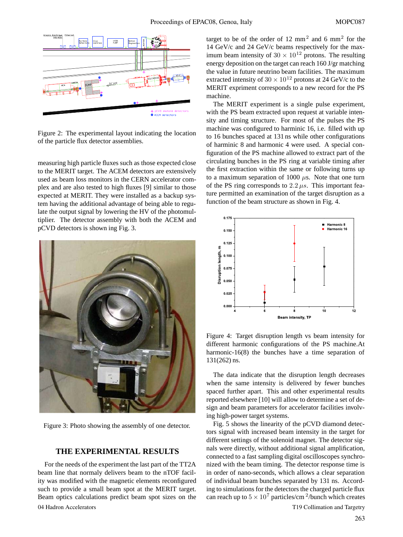

Figure 2: The experimental layout indicating the location of the particle flux detector assemblies.

measuring high particle fluxes such as those expected close to the MERIT target. The ACEM detectors are extensively used as beam loss monitors in the CERN accelerator complex and are also tested to high fluxes [9] similar to those expected at MERIT. They were installed as a backup system having the additional advantage of being able to regulate the output signal by lowering the HV of the photomultiplier. The detector assembly with both the ACEM and pCVD detectors is shown ing Fig. 3.



Figure 3: Photo showing the assembly of one detector.

#### **THE EXPERIMENTAL RESULTS**

For the needs of the experiment the last part of the TT2A beam line that normaly delivers beam to the nTOF facility was modified with the magnetic elements reconfigured such to provide a small beam spot at the MERIT target. Beam optics calculations predict beam spot sizes on the 04 Hadron Accelerators T19 Collimation and Targetry

target to be of the order of 12 mm<sup>2</sup> and 6 mm<sup>2</sup> for the 14 GeV/c and 24 GeV/c beams respectively for the maximum beam intensity of  $30 \times 10^{12}$  protons. The resulting energy deposition on the target can reach 160 J/gr matching the value in future neutrino beam facilities. The maximum extracted intensity of  $30 \times 10^{12}$  protons at 24 GeV/c to the MERIT expriment corresponds to a new record for the PS machine.

The MERIT experiment is a single pulse experiment, with the PS beam extracted upon request at variable intensity and timing structure. For most of the pulses the PS machine was configured to harminic 16, i.e. filled with up to 16 bunches spaced at 131 ns while other configurations of harminic 8 and harmonic 4 were used. A special configuration of the PS machine allowed to extract part of the circulating bunches in the PS ring at variable timing after the first extraction within the same or following turns up to a maximum separation of 1000  $\mu$ s. Note that one turn of the PS ring corresponds to  $2.2 \mu s$ . This important feature permitted an examination of the target disruption as a function of the beam structure as shown in Fig. 4.



Figure 4: Target disruption length vs beam intensity for different harmonic configurations of the PS machine.At harmonic-16(8) the bunches have a time separation of 131(262) ns.

The data indicate that the disruption length decreases when the same intensity is delivered by fewer bunches spaced further apart. This and other experimental results reported elsewhere [10] will allow to determine a set of design and beam parameters for accelerator facilities involving high-power target systems.

Fig. 5 shows the linearity of the pCVD diamond detectors signal with increased beam intensity in the target for different settings of the solenoid magnet. The detector signals were directly, without additional signal amplification, connected to a fast sampling digital oscilloscopes synchronized with the beam timing. The detector response time is in order of nano-seconds, which allows a clear separation of individual beam bunches separated by 131 ns. According to simulations for the detectors the charged particle flux can reach up to  $5 \times 10^7$  particles/cm <sup>2</sup>/bunch which creates